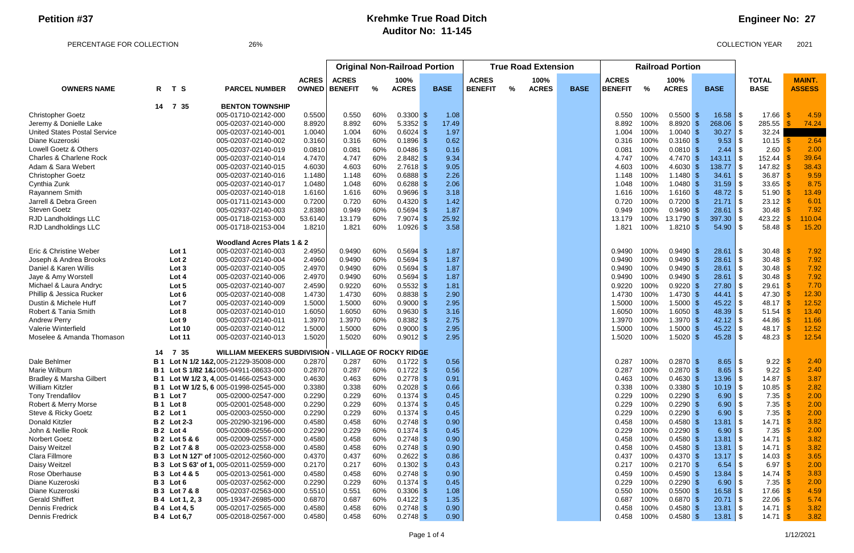#### PERCENTAGE FOR COLLECTION 26% 26% 26% 26% 2021

# **Engineer No: 27**

|                                     |            |                          |                                                             |                                      | <b>Original Non-Railroad Portion</b> |     |                      |              | <b>True Road Extension</b> |               |              | <b>Railroad Portion</b> |                |      |              |               |                                           |               |
|-------------------------------------|------------|--------------------------|-------------------------------------------------------------|--------------------------------------|--------------------------------------|-----|----------------------|--------------|----------------------------|---------------|--------------|-------------------------|----------------|------|--------------|---------------|-------------------------------------------|---------------|
|                                     |            |                          |                                                             | <b>ACRES</b><br><b>ACRES</b><br>100% |                                      |     | <b>ACRES</b><br>100% |              |                            |               | <b>ACRES</b> |                         | 100%           |      | <b>TOTAL</b> | <b>MAINT.</b> |                                           |               |
| <b>OWNERS NAME</b>                  |            | R T S                    | <b>PARCEL NUMBER</b>                                        | <b>OWNED</b>                         | <b>BENEFIT</b>                       | %   | <b>ACRES</b>         | <b>BASE</b>  | <b>BENEFIT</b>             | $\frac{9}{6}$ | <b>ACRES</b> | <b>BASE</b>             | <b>BENEFIT</b> | $\%$ | <b>ACRES</b> | <b>BASE</b>   | <b>BASE</b>                               | <b>ASSESS</b> |
|                                     | 14         | 7 35                     | <b>BENTON TOWNSHIP</b>                                      |                                      |                                      |     |                      |              |                            |               |              |                         |                |      |              |               |                                           |               |
| <b>Christopher Goetz</b>            |            |                          | 005-01710-02142-000                                         | 0.5500                               | 0.550                                | 60% | $0.3300$ \$          | 1.08         |                            |               |              |                         | 0.550          | 100% | $0.5500$ \$  | $16.58$   \$  | 17.66                                     | 4.59          |
| Jeremy & Donielle Lake              |            |                          | 005-02037-02140-000                                         | 8.8920                               | 8.892                                | 60% | $5.3352$ \$          | 17.49        |                            |               |              |                         | 8.892          | 100% | $8.8920$ \$  | 268.06        | 285.55                                    | 74.24         |
| <b>United States Postal Service</b> |            |                          | 005-02037-02140-001                                         | 1.0040                               | 1.004                                | 60% | $0.6024$ \$          | 1.97         |                            |               |              |                         | 1.004          | 100% | $1.0040$ \$  | 30.27         | 32.24                                     |               |
| Diane Kuzeroski                     |            |                          | 005-02037-02140-002                                         | 0.3160                               | 0.316                                | 60% | $0.1896$ \$          | 0.62         |                            |               |              |                         | 0.316          | 100% | $0.3160$ \$  | 9.53          | $10.15$ \$                                | 2.64          |
| Lowell Goetz & Others               |            |                          | 005-02037-02140-019                                         | 0.0810                               | 0.081                                | 60% | $0.0486$ \$          | 0.16         |                            |               |              |                         | 0.081          | 100% | $0.0810$ \$  |               | 2.60                                      | 2.00          |
| Charles & Charlene Rock             |            |                          | 005-02037-02140-014                                         | 4.7470                               | 4.747                                | 60% | $2.8482$ \$          | 9.34         |                            |               |              |                         | 4.747          | 100% | 4.7470 \$    | $143.11$ \\$  | 152.44                                    | 39.64         |
| Adam & Sara Webert                  |            |                          | 005-02037-02140-015                                         | 4.6030                               | 4.603                                | 60% | $2.7618$ \$          | 9.05         |                            |               |              |                         | 4.603          | 100% | $4.6030$ \$  | 138.77        | 147.82                                    | 38.43         |
| <b>Christopher Goetz</b>            |            |                          | 005-02037-02140-016                                         | 1.1480                               | 1.148                                | 60% | $0.6888$ \$          | 2.26         |                            |               |              |                         | 1.148          | 100% | $1.1480$ \$  | 34.61         | 36.87<br>$\blacksquare$                   | 9.59          |
| Cynthia Zunk                        |            |                          | 005-02037-02140-017                                         | 1.0480                               | 1.048                                | 60% | 0.6288               | 2.06         |                            |               |              |                         | 1.048          | 100% | $1.0480$ \$  | $31.59$ \$    | 33.65                                     | 8.75          |
| Rayannem Smith                      |            |                          | 005-02037-02140-018                                         | 1.6160                               | 1.616                                | 60% | 0.9696               | 3.18         |                            |               |              |                         | 1.616          | 100% | $1.6160$ \$  |               | 51.90                                     | 13.49         |
| Jarrell & Debra Green               |            |                          | 005-01711-02143-000                                         | 0.7200                               | 0.720                                | 60% | $0.4320$ \$          | 1.42         |                            |               |              |                         | 0.720          | 100% | $0.7200$ \$  |               | 23.12                                     | 6.01          |
| <b>Steven Goetz</b>                 |            |                          | 005-02937-02140-003                                         | 2.8380                               | 0.949                                | 60% | 0.5694               | 1.87         |                            |               |              |                         | 0.949          | 100% | $0.9490$ \$  | 28.61         | 30.48                                     | 7.92          |
| <b>RJD Landholdings LLC</b>         |            |                          | 005-01718-02153-000                                         | 53.6140                              | 13.179                               | 60% | 7.9074               | 25.92<br>- 9 |                            |               |              |                         | 13.179         | 100% | 13.1790 \$   | 397.30        | 423.22                                    | 110.04        |
| <b>RJD Landholdings LLC</b>         |            |                          | 005-01718-02153-004                                         | 1.8210                               | 1.821                                | 60% | 1.0926               | 3.58<br>- 9  |                            |               |              |                         | 1.821          | 100% | $1.8210$ \$  | 54.90         | 58.48                                     | 15.20         |
|                                     |            |                          | <b>Woodland Acres Plats 1 &amp; 2</b>                       |                                      |                                      |     |                      |              |                            |               |              |                         |                |      |              |               |                                           |               |
| Eric & Christine Weber              |            | Lot 1                    | 005-02037-02140-003                                         | 2.4950                               | 0.9490                               | 60% | 0.5694               | 1.87         |                            |               |              |                         | 0.9490         | 100% | $0.9490$ \$  |               | 30.48                                     | 7.92          |
| Joseph & Andrea Brooks              |            | Lot 2                    | 005-02037-02140-004                                         | 2.4960                               | 0.9490                               | 60% | 0.5694               | 1.87         |                            |               |              |                         | 0.9490         | 100% | $0.9490$ \$  |               | 30.48                                     | 7.92          |
| Daniel & Karen Willis               |            | Lot 3                    | 005-02037-02140-005                                         | 2.4970                               | 0.9490                               | 60% | 0.5694               | 1.87         |                            |               |              |                         | 0.9490         | 100% | $0.9490$ \$  | $28.61$ \\$   | 30.48                                     | 7.92          |
| Jaye & Amy Worstell                 |            | Lot 4                    | 005-02037-02140-006                                         | 2.4970                               | 0.9490                               | 60% | 0.5694               | 1.87         |                            |               |              |                         | 0.9490         | 100% | $0.9490$ \$  | 28.61         | 30.48                                     | 7.92          |
| Michael & Laura Andryc              |            | Lot 5                    | 005-02037-02140-007                                         | 2.4590                               | 0.9220                               | 60% | $0.5532$ \$          | 1.81         |                            |               |              |                         | 0.9220         | 100% | $0.9220$ \$  | 27.80         | 29.61                                     | 7.70          |
| Phillip & Jessica Rucker            |            | Lot 6                    | 005-02037-02140-008                                         | 1.4730                               | 1.4730                               | 60% | 0.8838               | 2.90         |                            |               |              |                         | 1.4730         | 100% | $1.4730$ \$  | 44.41         | 47.30                                     | 12.30         |
| Dustin & Michele Huff               |            | Lot 7                    | 005-02037-02140-009                                         | 1.5000                               | 1.5000                               | 60% | $0.9000$ \$          | 2.95         |                            |               |              |                         | 1.5000         | 100% | $1.5000$ \$  | 45.22         | 48.17                                     | 12.52         |
| Robert & Tania Smith                |            | Lot 8                    | 005-02037-02140-010                                         | 1.6050                               | 1.6050                               | 60% | $0.9630$ \$          | 3.16         |                            |               |              |                         | 1.6050         | 100% | $1.6050$ \$  | 48.39         | 51.54                                     | 13.40         |
| <b>Andrew Perry</b>                 |            | Lot 9                    | 005-02037-02140-011                                         | 1.3970                               | 1.3970                               | 60% | $0.8382$ \$          | 2.75         |                            |               |              |                         | 1.3970         | 100% | 1.3970 \$    | 42.12         | 44.86                                     | 11.66         |
| Valerie Winterfield                 |            | <b>Lot 10</b>            | 005-02037-02140-012                                         | 1.5000                               | 1.5000                               | 60% | $0.9000$ \$          | 2.95         |                            |               |              |                         | 1.5000         | 100% | $1.5000$ \$  | 45.22         | 48.17                                     | 12.52         |
| Moselee & Amanda Thomason           |            | Lot 11                   | 005-02037-02140-013                                         | 1.5020                               | 1.5020                               | 60% | $0.9012$ \$          | 2.95         |                            |               |              |                         | 1.5020         | 100% | $1.5020$ \$  | 45.28         | 48.23                                     | 12.54         |
|                                     | 14         | 7 35                     | <b>WILLIAM MEEKERS SUBDIVISION - VILLAGE OF ROCKY RIDGE</b> |                                      |                                      |     |                      |              |                            |               |              |                         |                |      |              |               |                                           |               |
| Dale Behlmer                        | <b>B</b> 1 |                          | Lot N 1/2 1&2, 005-21229-35008-000                          | 0.2870                               | 0.287                                | 60% | $0.1722$ \$          | 0.56         |                            |               |              |                         | 0.287          | 100% | $0.2870$ \$  |               | 9.22                                      | 2.40          |
| Marie Wilburn                       |            |                          | B 1 Lot S 1/82 1& 2005-04911-08633-000                      | 0.2870                               | 0.287                                | 60% | 0.1722               | 0.56         |                            |               |              |                         | 0.287          | 100% | $0.2870$ \$  |               | 9.22                                      | 2.40          |
| <b>Bradley &amp; Marsha Gilbert</b> |            |                          | <b>B 1 Lot W 1/2 3, 4, 005-01466-02543-000</b>              | 0.4630                               | 0.463                                | 60% | 0.2778               | 0.91         |                            |               |              |                         | 0.463          | 100% | $0.4630$ \$  | $13.96$ \$    | 14.87                                     | 3.87          |
| William Kitzler                     |            |                          | <b>B 1 Lot W 1/2 5, 6 005-01998-02545-000</b>               | 0.3380                               | 0.338                                | 60% | $0.2028$ \$          | 0.66         |                            |               |              |                         | 0.338          | 100% | $0.3380$ \$  |               | 10.85                                     | 2.82          |
| <b>Tony Trendafilov</b>             | <b>B</b> 1 | <b>Lot 7</b>             | 005-02000-02547-000                                         | 0.2290                               | 0.229                                | 60% | $0.1374$ \$          | 0.45         |                            |               |              |                         | 0.229          | 100% | $0.2290$ \$  | 6.90          | $7.35$ \ $\overline{\phantom{a}}$<br>- \$ | 2.00          |
| Robert & Merry Morse                | <b>B</b> 1 | Lot 8                    | 005-02001-02548-000                                         | 0.2290                               | 0.229                                | 60% | $0.1374$ \$          | 0.45         |                            |               |              |                         | 0.229          | 100% | $0.2290$ \$  | 6.90          | $7.35$ \$<br>8                            | 2.00          |
| <b>Steve &amp; Ricky Goetz</b>      |            | <b>B</b> 2 Lot 1         | 005-02003-02550-000                                         | 0.2290                               | 0.229                                | 60% | $0.1374$ \$          | 0.45         |                            |               |              |                         | 0.229          | 100% | $0.2290$ \$  | 6.90          | $7.35$ \$<br>∣\$                          | 2.00          |
| <b>Donald Kitzler</b>               |            | <b>B</b> 2 Lot 2-3       | 005-20290-32196-000                                         | 0.4580                               | 0.458                                | 60% | $0.2748$ \$          | 0.90         |                            |               |              |                         | 0.458          | 100% | $0.4580$ \$  |               | 14.71 $\sqrt{9}$                          | 3.82          |
| John & Nellie Rook                  |            | <b>B</b> 2 Lot 4         | 005-02008-02556-000                                         | 0.2290                               | 0.229                                | 60% | $0.1374$ \$          | 0.45         |                            |               |              |                         | 0.229          | 100% | $0.2290$ \$  | 6.90          | 7.35                                      | 2.00          |
| Norbert Goetz                       |            | <b>B2</b> Lot 5 & 6      | 005-02009-02557-000                                         | 0.4580                               | 0.458                                | 60% | $0.2748$ \$          | 0.90         |                            |               |              |                         | 0.458          | 100% | $0.4580$ \$  |               | 14.71 $\frac{9}{9}$                       | 3.82          |
| Daisy Weitzel                       |            | <b>B2</b> Lot 7 & 8      | 005-02023-02558-000                                         | 0.4580                               | 0.458                                | 60% | $0.2748$ \$          | 0.90         |                            |               |              |                         | 0.458          | 100% | $0.4580$ \$  |               | 14.71 $\frac{8}{3}$                       | 3.82          |
| Clara Fillmore                      |            |                          | <b>B 3 Lot N 127' of 1005-02012-02560-000</b>               | 0.4370                               | 0.437                                | 60% | $0.2622$ \$          | 0.86         |                            |               |              |                         | 0.437          | 100% | $0.4370$ \$  |               | 14.03                                     | 3.65          |
| Daisy Weitzel                       |            |                          | B 3 Lot S 63' of 1, 005-02011-02559-000                     | 0.2170                               | 0.217                                | 60% | $0.1302$ \$          | 0.43         |                            |               |              |                         | 0.217          | 100% | $0.2170$ \$  | $6.54$   \$   | 6.97                                      | 2.00          |
| Rose Oberhause                      |            | <b>B</b> 3 Lot 4 & 5     | 005-02013-02561-000                                         | 0.4580                               | 0.458                                | 60% | $0.2748$ \$          | 0.90         |                            |               |              |                         | 0.459          | 100% | $0.4590$ \$  |               | 14.74 $\frac{9}{5}$                       | 3.83          |
| Diane Kuzeroski                     |            | B 3 Lot 6                | 005-02037-02562-000                                         | 0.2290                               | 0.229                                | 60% | $0.1374$ \$          | 0.45         |                            |               |              |                         | 0.229          | 100% | $0.2290$ \$  | 6.90          | 7.35                                      | 2.00          |
| Diane Kuzeroski                     |            | <b>B 3 Lot 7 &amp; 8</b> | 005-02037-02563-000                                         | 0.5510                               | 0.551                                | 60% | $0.3306$ \$          | 1.08         |                            |               |              |                         | 0.550          | 100% | $0.5500$ \$  | 16.58         | 17.66                                     | 4.59          |
| <b>Gerald Shiffert</b>              |            | <b>B</b> 4 Lot 1, 2, 3   | 005-19347-26985-000                                         | 0.6870                               | 0.687                                | 60% | $0.4122$ \$          | 1.35         |                            |               |              |                         | 0.687          | 100% | $0.6870$ \$  | $20.71$ \\$   | 22.06                                     | 5.74          |
| Dennis Fredrick                     |            | <b>B</b> 4 Lot 4, 5      | 005-02017-02565-000                                         | 0.4580                               | 0.458                                | 60% | $0.2748$ \$          | 0.90         |                            |               |              |                         | 0.458          | 100% | $0.4580$ \$  |               | 14.71 $\frac{9}{4}$                       | 3.82          |
| Dennis Fredrick                     |            | <b>B</b> 4 Lot 6,7       | 005-02018-02567-000                                         | 0.4580                               | 0.458                                | 60% | $0.2748$ \$          | 0.90         |                            |               |              |                         | 0.458          | 100% | $0.4580$ \$  |               | 14.71 $\frac{\$}{}$                       | 3.82          |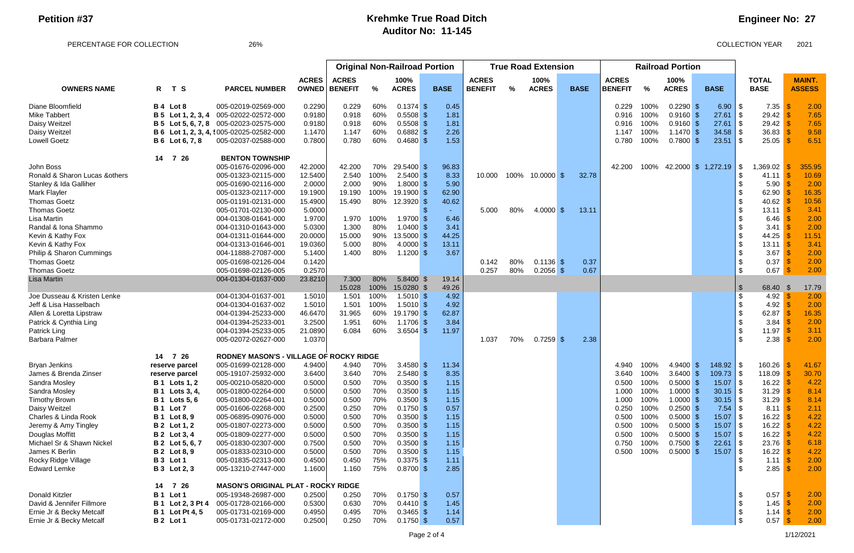PERCENTAGE FOR COLLECTION 26% 26% 26% 26% 2021

## **Engineer No: 27**

|                                |                                 |                                                 |              | <b>Original Non-Railroad Portion</b> |      |              |              |                | <b>True Road Extension</b> |              |  |             | <b>Railroad Portion</b> |               |                             |  |              |                             |               |
|--------------------------------|---------------------------------|-------------------------------------------------|--------------|--------------------------------------|------|--------------|--------------|----------------|----------------------------|--------------|--|-------------|-------------------------|---------------|-----------------------------|--|--------------|-----------------------------|---------------|
|                                |                                 |                                                 | <b>ACRES</b> | <b>ACRES</b>                         |      | 100%         |              | <b>ACRES</b>   |                            | 100%         |  |             | <b>ACRES</b>            |               | 100%                        |  |              | <b>TOTAL</b>                | <b>MAINT.</b> |
| <b>OWNERS NAME</b>             | R T S                           | <b>PARCEL NUMBER</b>                            | <b>OWNED</b> | <b>BENEFIT</b>                       | %    | <b>ACRES</b> | <b>BASE</b>  | <b>BENEFIT</b> | %                          | <b>ACRES</b> |  | <b>BASE</b> | <b>BENEFIT</b>          | $\frac{9}{6}$ | <b>ACRES</b>                |  | <b>BASE</b>  | <b>BASE</b>                 | <b>ASSESS</b> |
| Diane Bloomfield               | B 4 Lot 8                       | 005-02019-02569-000                             | 0.2290       | 0.229                                | 60%  | $0.1374$ \$  | 0.45         |                |                            |              |  |             | 0.229                   | 100%          | $0.2290$ \$                 |  | 6.90         | \$<br>7.35                  | 2.00          |
| <b>Mike Tabbert</b>            | <b>B</b> 5 Lot 1, 2, 3, 4       | 005-02022-02572-000                             | 0.9180       | 0.918                                | 60%  | 0.5508       | 1.81         |                |                            |              |  |             | 0.916                   | 100%          | $0.9160$ \$                 |  | 27.61        | \$<br>29.42                 | 7.65          |
| Daisy Weitzel                  |                                 | <b>B 5 Lot 5, 6, 7, 8</b> 005-02023-02575-000   | 0.9180       | 0.918                                | 60%  | $0.5508$ \$  | 1.81         |                |                            |              |  |             | 0.916                   | 100%          | $0.9160$ \$                 |  | 27.61        | \$<br>29.42                 | 7.65          |
| Daisy Weitzel                  |                                 | <b>B 6 Lot 1, 2, 3, 4, !005-02025-02582-000</b> | 1.1470       | 1.147                                | 60%  | $0.6882$ \$  | 2.26         |                |                            |              |  |             | 1.147                   | 100%          | 1.1470S                     |  | 34.58        | 36.83<br>\$                 | 9.58          |
| <b>Lowell Goetz</b>            | <b>B</b> 6 Lot 6, 7, 8          | 005-02037-02588-000                             | 0.7800       | 0.780                                | 60%  | $0.4680$ \$  | 1.53         |                |                            |              |  |             | 0.780                   | 100%          | $0.7800$ \$                 |  | 23.51        | \$<br>25.05                 | 6.51          |
|                                | 14<br>7 26                      | <b>BENTON TOWNSHIP</b>                          |              |                                      |      |              |              |                |                            |              |  |             |                         |               |                             |  |              |                             |               |
| John Boss                      |                                 | 005-01676-02096-000                             | 42.2000      | 42.200                               | 70%  | 29.5400 \$   | 96.83        |                |                            |              |  |             | 42.200                  |               | 100% 42.2000 \$ 1,272.19 \$ |  |              | ,369.02                     | 355.95        |
| Ronald & Sharon Lucas & others |                                 | 005-01323-02115-000                             | 12.5400      | 2.540                                | 100% | 2.5400       | 8.33         | 10.000         | 100%                       | $10.0000$ \$ |  | 32.78       |                         |               |                             |  |              | 41.11                       | 10.69         |
| Stanley & Ida Galliher         |                                 | 005-01690-02116-000                             | 2.0000       | 2.000                                | 90%  | 1.8000       | 5.90         |                |                            |              |  |             |                         |               |                             |  |              | 5.90                        | 2.00          |
| Mark Flayler                   |                                 | 005-01323-02117-000                             | 19.1900      | 19.190                               | 100% | 19.1900      | 62.90        |                |                            |              |  |             |                         |               |                             |  |              | 62.90                       | 16.35         |
| <b>Thomas Goetz</b>            |                                 | 005-01191-02131-000                             | 15.4900      | 15.490                               | 80%  | 12.3920      | 40.62        |                |                            |              |  |             |                         |               |                             |  |              | 40.62                       | 10.56         |
| <b>Thomas Goetz</b>            |                                 | 005-01701-02130-000                             | 5.0000       |                                      |      |              |              | 5.000          | 80%                        | $4.0000$ \$  |  | 13.11       |                         |               |                             |  |              | 13.11                       | 3.41          |
| Lisa Martin                    |                                 | 004-01308-01641-000                             | 1.9700       | 1.970                                | 100% | 1.9700       | 6.46         |                |                            |              |  |             |                         |               |                             |  |              | 6.46                        | 2.00          |
| Randal & Iona Shammo           |                                 | 004-01310-01643-000                             | 5.0300       | 1.300                                | 80%  | 1.0400       | 3.41         |                |                            |              |  |             |                         |               |                             |  |              | 3.41                        | 2.00          |
| Kevin & Kathy Fox              |                                 | 004-01311-01644-000                             | 20.0000      | 15.000                               | 90%  | 13.5000      | 44.25        |                |                            |              |  |             |                         |               |                             |  |              | 44.25                       | 11.51         |
| Kevin & Kathy Fox              |                                 | 004-01313-01646-001                             | 19.0360      | 5.000                                | 80%  | 4.0000       | 13.11        |                |                            |              |  |             |                         |               |                             |  |              | \$<br>13.11                 | 3.41          |
| Philip & Sharon Cummings       |                                 | 004-11888-27087-000                             | 5.1400       | 1.400                                | 80%  | $1.1200$ \$  | 3.67         |                |                            |              |  |             |                         |               |                             |  |              | 3.67                        | 2.00          |
| <b>Thomas Goetz</b>            |                                 | 005-01698-02126-004                             | 0.1420       |                                      |      |              |              | 0.142          | 80%                        | $0.1136$ \$  |  | 0.37        |                         |               |                             |  |              | \$<br>0.37                  | 2.00          |
| <b>Thomas Goetz</b>            |                                 | 005-01698-02126-005                             | 0.2570       |                                      |      |              |              | 0.257          | 80%                        | $0.2056$ \$  |  | 0.67        |                         |               |                             |  |              | \$<br>0.67                  | 2.00          |
| Lisa Martin                    |                                 | 004-01304-01637-000                             | 23.8210      | 7.300                                | 80%  | 5.8400 \$    | 19.14        |                |                            |              |  |             |                         |               |                             |  |              |                             |               |
|                                |                                 |                                                 |              | 15.028                               | 100% | 15.0280 \$   | 49.26        |                |                            |              |  |             |                         |               |                             |  |              | $\mathfrak{L}$<br>68.40     | 17.79         |
| Joe Dusseau & Kristen Lenke    |                                 | 004-01304-01637-001                             | 1.5010       | 1.501                                | 100% | $1.5010$ \$  | 4.92         |                |                            |              |  |             |                         |               |                             |  |              | 4.92<br>\$                  | 2.00          |
| Jeff & Lisa Hasselbach         |                                 | 004-01304-01637-002                             | 1.5010       | 1.501                                | 100% | $1.5010$ \$  | 4.92         |                |                            |              |  |             |                         |               |                             |  |              | \$<br>4.92                  | 2.00          |
| Allen & Loretta Lipstraw       |                                 | 004-01394-25233-000                             | 46.6470      | 31.965                               | 60%  | 19.1790      | 62.87        |                |                            |              |  |             |                         |               |                             |  |              | 62.87                       | 16.35         |
| Patrick & Cynthia Ling         |                                 | 004-01394-25233-001                             | 3.2500       | 1.951                                | 60%  | 1.1706       | 3.84         |                |                            |              |  |             |                         |               |                             |  |              | 3.84                        | 2.00          |
| Patrick Ling                   |                                 | 004-01394-25233-005                             | 21.0890      | 6.084                                | 60%  | 3.6504 \$    | 11.97        |                |                            |              |  |             |                         |               |                             |  |              | 11.97                       | 3.11          |
| <b>Barbara Palmer</b>          |                                 | 005-02072-02627-000                             | 1.0370       |                                      |      |              |              | 1.037          | 70%                        | $0.7259$ \$  |  | 2.38        |                         |               |                             |  |              | \$<br>2.38                  | 2.00          |
|                                | 7 26<br>14                      | RODNEY MASON'S - VILLAGE OF ROCKY RIDGE         |              |                                      |      |              |              |                |                            |              |  |             |                         |               |                             |  |              |                             |               |
| <b>Bryan Jenkins</b>           | reserve parcel                  | 005-01699-02128-000                             | 4.9400       | 4.940                                | 70%  | 3.4580 $$$   | 11.34        |                |                            |              |  |             | 4.940                   | 100%          | $4.9400$ \$                 |  |              | 160.26                      | 41.67         |
| James & Brenda Zinser          | reserve parcel                  | 005-19107-25932-000                             | 3.6400       | 3.640                                | 70%  | $2.5480$ \$  | 8.35         |                |                            |              |  |             | 3.640                   | 100%          | $3.6400$ \$                 |  | $109.73$ \$  | 118.09                      | 30.70         |
| Sandra Mosley                  | <b>B</b> 1 Lots 1, 2            | 005-00210-05820-000                             | 0.5000       | 0.500                                | 70%  | 0.3500       | 1.15         |                |                            |              |  |             | 0.500                   | 100%          | $0.5000$ \$                 |  | 15.07        | 16.22<br>\$                 | 4.22          |
| Sandra Mosley                  | <b>B</b> 1 Lots 3, 4,           | 005-01800-02264-000                             | 0.5000       | 0.500                                | 70%  | 0.3500       | 1.15         |                |                            |              |  |             | 1.000                   | 100%          | $1.0000$ \$                 |  | 30.15        | 31.29                       | 8.14          |
| <b>Timothy Brown</b>           | <b>B</b> 1 Lots 5, 6            | 005-01800-02264-001                             | 0.5000       | 0.500                                | 70%  | $0.3500$ \$  | 1.15         |                |                            |              |  |             | 1.000                   | 100%          | $1.0000$ \$                 |  | 30.15        | \$<br>31.29                 | 8.14          |
| Daisy Weitzel                  | B <sub>1</sub> Lot <sub>7</sub> | 005-01606-02268-000                             | 0.2500       | 0.250                                | 70%  | 0.1750       | 0.57         |                |                            |              |  |             | 0.250                   | 100%          | $0.2500$ \$                 |  | 7.54         | 8.11                        | 2.11          |
| Charles & Linda Rook           | <b>B</b> 1 Lot 8, 9             | 005-06895-09076-000                             | 0.5000       | 0.500                                | 70%  | $0.3500$ \$  | 1.15         |                |                            |              |  |             | 0.500                   | 100%          | $0.5000$ \$                 |  | $15.07$   \$ | 16.22                       | 4.22          |
| Jeremy & Amy Tingley           | <b>B</b> 2 Lot 1, 2             | 005-01807-02273-000                             | 0.5000       | 0.500                                | 70%  | $0.3500$ \$  | 1.15         |                |                            |              |  |             | 0.500                   | 100%          | $0.5000$ \$                 |  | 15.07        | 16.22<br>- \$               | 4.22          |
| Douglas Moffitt                | <b>B</b> 2 Lot 3, 4             | 005-01809-02277-000                             | 0.5000       | 0.500                                | 70%  | $0.3500$ \$  | 1.15         |                |                            |              |  |             | 0.500                   | 100%          | $0.5000$ \$                 |  | 15.07        | 16.22<br>\$                 | 4.22          |
| Michael Sr & Shawn Nickel      | <b>B</b> 2 Lot 5, 6, 7          | 005-01830-02307-000                             | 0.7500       | 0.500                                | 70%  | $0.3500$ \$  | 1.15         |                |                            |              |  |             | 0.750                   | 100%          | $0.7500$ \$                 |  | 22.61        | 23.76<br>- \$               | 6.18          |
| James K Berlin                 | <b>B</b> 2 Lot 8, 9             | 005-01833-02310-000                             | 0.5000       | 0.500                                | 70%  | 0.3500       | 1.15<br>- 35 |                |                            |              |  |             | 0.500                   | 100%          | $0.5000$ \$                 |  | 15.07        | 16.22<br>- \$               | 4.22          |
| Rocky Ridge Village            | B 3 Lot 1                       | 005-01835-02313-000                             | 0.4500       | 0.450                                | 75%  | $0.3375$ \$  | 1.11         |                |                            |              |  |             |                         |               |                             |  |              | 1.11                        | 2.00          |
| <b>Edward Lemke</b>            | <b>B</b> 3 Lot 2, 3             | 005-13210-27447-000                             | 1.1600       | 1.160                                | 75%  | $0.8700$ \$  | 2.85         |                |                            |              |  |             |                         |               |                             |  |              | 2.85                        | 2.00          |
|                                | 7 26<br>14                      | <b>MASON'S ORIGINAL PLAT - ROCKY RIDGE</b>      |              |                                      |      |              |              |                |                            |              |  |             |                         |               |                             |  |              |                             |               |
| <b>Donald Kitzler</b>          | B <sub>1</sub> Lot <sub>1</sub> | 005-19348-26987-000                             | 0.2500       | 0.250                                | 70%  | $0.1750$ \$  | 0.57         |                |                            |              |  |             |                         |               |                             |  |              | 0.57<br>-\$                 | 2.00          |
| David & Jennifer Fillmore      | <b>B</b> 1 Lot 2, 3 Pt 4        | 005-01728-02166-000                             | 0.5300       | 0.630                                | 70%  | $0.4410$ \$  | 1.45         |                |                            |              |  |             |                         |               |                             |  |              | -\$<br>1.45                 | 2.00          |
| Ernie Jr & Becky Metcalf       | <b>B</b> 1 Lot Pt 4, 5          | 005-01731-02169-000                             | 0.4950       | 0.495                                | 70%  | $0.3465$ \$  | 1.14         |                |                            |              |  |             |                         |               |                             |  |              | \$<br>1.14 $\frac{1}{9}$    | 2.00          |
| Ernie Jr & Becky Metcalf       | <b>B 2</b> Lot 1                | 005-01731-02172-000                             | 0.2500       | 0.250                                | 70%  | $0.1750$ \$  | 0.57         |                |                            |              |  |             |                         |               |                             |  |              | $\mathfrak{S}$<br>$0.57$ \$ | 2.00          |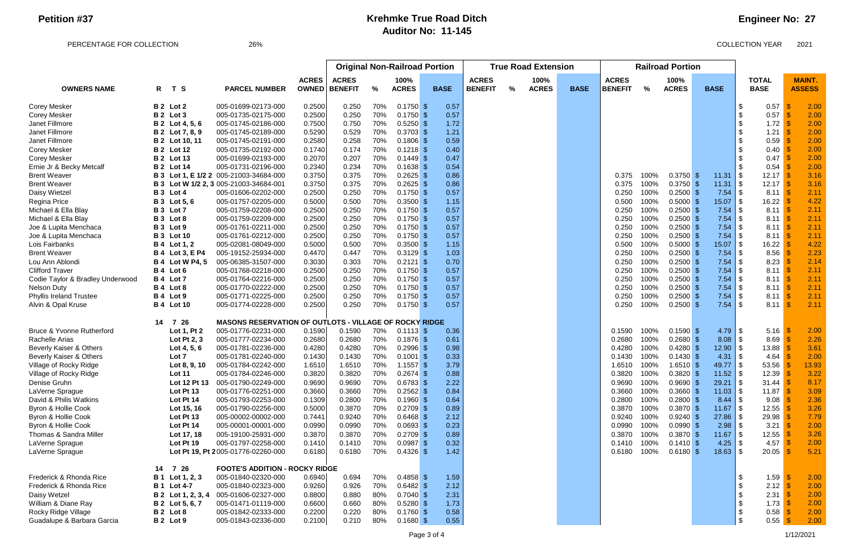PERCENTAGE FOR COLLECTION 26% 26% 26% 26% 2021

## **Engineer No: 27**

|                                    |            |                        |                                                        |              | <b>Original Non-Railroad Portion</b> |     |              |             | <b>True Road Extension</b> | <b>Railroad Portion</b> |              |             |                |      |              |               |                       |                   |               |
|------------------------------------|------------|------------------------|--------------------------------------------------------|--------------|--------------------------------------|-----|--------------|-------------|----------------------------|-------------------------|--------------|-------------|----------------|------|--------------|---------------|-----------------------|-------------------|---------------|
|                                    |            |                        |                                                        | <b>ACRES</b> | <b>ACRES</b><br>100%                 |     | <b>ACRES</b> | 100%        |                            |                         | <b>ACRES</b> |             | 100%           |      | <b>TOTAL</b> | <b>MAINT.</b> |                       |                   |               |
| <b>OWNERS NAME</b>                 | R          | T S                    | <b>PARCEL NUMBER</b>                                   |              | <b>OWNED   BENEFIT</b>               | %   | <b>ACRES</b> | <b>BASE</b> | <b>BENEFIT</b>             | %                       | <b>ACRES</b> | <b>BASE</b> | <b>BENEFIT</b> | %    | <b>ACRES</b> |               | <b>BASE</b>           | <b>BASE</b>       | <b>ASSESS</b> |
| <b>Corey Mesker</b>                |            | B 2 Lot 2              | 005-01699-02173-000                                    | 0.2500       | 0.250                                | 70% | $0.1750$ \$  | 0.57        |                            |                         |              |             |                |      |              |               |                       | 0.57              | 2.00          |
| <b>Corey Mesker</b>                |            | B 2 Lot 3              | 005-01735-02175-000                                    | 0.2500       | 0.250                                | 70% | $0.1750$ \$  | 0.57        |                            |                         |              |             |                |      |              |               |                       | 0.57              | 2.00          |
| Janet Fillmore                     |            | <b>B</b> 2 Lot 4, 5, 6 | 005-01745-02186-000                                    | 0.7500       | 0.750                                | 70% | $0.5250$ \$  | 1.72        |                            |                         |              |             |                |      |              |               |                       | 1.72              | 2.00          |
| Janet Fillmore                     |            | <b>B</b> 2 Lot 7, 8, 9 | 005-01745-02189-000                                    | 0.5290       | 0.529                                | 70% | $0.3703$ \$  | 1.21        |                            |                         |              |             |                |      |              |               |                       | 1.21              | 2.00          |
| Janet Fillmore                     |            | <b>B</b> 2 Lot 10, 11  | 005-01745-02191-000                                    | 0.2580       | 0.258                                | 70% | $0.1806$ \$  | 0.59        |                            |                         |              |             |                |      |              |               |                       | 0.59              | 2.00          |
| Corey Mesker                       |            | <b>B 2</b> Lot 12      | 005-01735-02192-000                                    | 0.1740       | 0.174                                | 70% | $0.1218$ \$  | 0.40        |                            |                         |              |             |                |      |              |               |                       | 0.40              | 2.00          |
| Corey Mesker                       |            | <b>B 2</b> Lot 13      | 005-01699-02193-000                                    | 0.2070       | 0.207                                | 70% | $0.1449$ \$  | 0.47        |                            |                         |              |             |                |      |              |               |                       | 0.47              | 2.00          |
| Ernie Jr & Becky Metcalf           |            | <b>B</b> 2 Lot 14      | 005-01731-02196-000                                    | 0.2340       | 0.234                                | 70% | $0.1638$ \$  | 0.54        |                            |                         |              |             |                |      |              |               |                       | 0.54              | 2.00          |
| <b>Brent Weaver</b>                |            |                        | <b>B 3 Lot 1, E 1/2 2</b> 005-21003-34684-000          | 0.3750       | 0.375                                | 70% | 0.2625       | 0.86        |                            |                         |              |             | 0.375          | 100% | $0.3750$ \$  |               | $11.31$ $\frac{1}{9}$ | 12.17             | 3.16          |
| <b>Brent Weaver</b>                |            |                        | B 3 Lot W 1/2 2, 3 005-21003-34684-001                 | 0.3750       | 0.375                                | 70% | 0.2625       | 0.86        |                            |                         |              |             | 0.375          | 100% | $0.3750$ \$  |               |                       | 12.17             | 3.16          |
| Daisy Wietzel                      |            | B 3 Lot 4              | 005-01606-02202-000                                    | 0.2500       | 0.250                                | 70% | 0.1750       | 0.57        |                            |                         |              |             | 0.250          | 100% | $0.2500$ \$  |               |                       | 8.11              | 2.11          |
| Regina Price                       |            | <b>B</b> 3 Lot 5, 6    | 005-01757-02205-000                                    | 0.5000       | 0.500                                | 70% | 0.3500       | 1.15        |                            |                         |              |             | 0.500          | 100% | $0.5000$ \$  |               | 15.07                 | 16.22             | 4.22          |
| Michael & Ella Blay                |            | B 3 Lot 7              | 005-01759-02208-000                                    | 0.2500       | 0.250                                | 70% | 0.1750       | 0.57        |                            |                         |              |             | 0.250          | 100% | $0.2500$ \$  |               |                       | 8.11              | 2.11          |
| Michael & Ella Blay                |            | B 3 Lot 8              | 005-01759-02209-000                                    | 0.2500       | 0.250                                | 70% | $0.1750$ \$  | 0.57        |                            |                         |              |             | 0.250          | 100% | $0.2500$ \$  |               |                       | 8.11              | 2.11          |
| Joe & Lupita Menchaca              |            | B 3 Lot 9              | 005-01761-02211-000                                    | 0.2500       | 0.250                                | 70% | $0.1750$ \$  | 0.57        |                            |                         |              |             | 0.250          | 100% | $0.2500$ \$  |               | 7.54                  | 8.11              | 2.11          |
| Joe & Lupita Menchaca              |            | <b>B</b> 3 Lot 10      | 005-01761-02212-000                                    | 0.2500       | 0.250                                | 70% | $0.1750$ \$  | 0.57        |                            |                         |              |             | 0.250          | 100% | $0.2500$ \$  |               | 7.54                  | 8.11              | 2.11          |
| Lois Fairbanks                     |            | <b>B</b> 4 Lot 1, 2    | 005-02081-08049-000                                    | 0.5000       | 0.500                                | 70% | $0.3500$ \$  | 1.15        |                            |                         |              |             | 0.500          | 100% | $0.5000$ \$  |               | 15.07                 | 16.22             | 4.22          |
| <b>Brent Weaver</b>                |            | <b>B</b> 4 Lot 3, E P4 | 005-19152-25934-000                                    | 0.4470       | 0.447                                | 70% | $0.3129$ \$  | 1.03        |                            |                         |              |             | 0.250          | 100% | $0.2500$ \$  |               | 7.54                  | 8.56              | 2.23          |
| Lou Ann Ablondi                    |            | <b>B 4 Lot W P4, 5</b> | 005-06385-31507-000                                    | 0.3030       | 0.303                                | 70% | $0.2121$ \$  | 0.70        |                            |                         |              |             | 0.250          | 100% | $0.2500$ \$  |               | 7.54                  | 8.23              | 2.14          |
| <b>Clifford Traver</b>             |            | B 4 Lot 6              | 005-01768-02218-000                                    | 0.2500       | 0.250                                | 70% | $0.1750$ \$  | 0.57        |                            |                         |              |             | 0.250          | 100% | $0.2500$ \$  |               |                       | 8.11              | 2.11          |
| Codie Taylor & Bradley Underwood   |            | B 4 Lot 7              | 005-01764-02216-000                                    | 0.2500       | 0.250                                | 70% | $0.1750$ \$  | 0.57        |                            |                         |              |             | 0.250          | 100% | $0.2500$ \$  |               |                       | 8.11              | 2.11          |
| <b>Nelson Duty</b>                 |            | B 4 Lot 8              | 005-01770-02222-000                                    | 0.2500       | 0.250                                | 70% | $0.1750$ \$  | 0.57        |                            |                         |              |             | 0.250          | 100% | $0.2500$ \$  |               |                       | 8.11              | 2.11          |
| <b>Phyllis Ireland Trustee</b>     | <b>B</b> 4 | Lot 9                  | 005-01771-02225-000                                    | 0.2500       | 0.250                                | 70% | $0.1750$ \$  | 0.57        |                            |                         |              |             | 0.250          | 100% | $0.2500$ \$  |               |                       | 8.11              | 2.11          |
| Alvin & Opal Kruse                 |            | <b>B</b> 4 Lot 10      | 005-01774-02228-000                                    | 0.2500       | 0.250                                | 70% | $0.1750$ \$  | 0.57        |                            |                         |              |             | 0.250          | 100% | $0.2500$ \$  |               |                       | 8.11              | 2.11          |
|                                    | 14         | 7 26                   | MASONS RESERVATION OF OUTLOTS - VILLAGE OF ROCKY RIDGE |              |                                      |     |              |             |                            |                         |              |             |                |      |              |               |                       |                   |               |
| Bruce & Yvonne Rutherford          |            | Lot 1, Pt 2            | 005-01776-02231-000                                    | 0.1590       | 0.1590                               | 70% | $0.1113$ \$  | 0.36        |                            |                         |              |             | 0.1590         | 100% | $0.1590$ \$  |               | $4.79$ \$             | 5.16              | 2.00          |
| Rachelle Arias                     |            | Lot Pt 2, 3            | 005-01777-02234-000                                    | 0.2680       | 0.2680                               | 70% | $0.1876$ \$  | 0.61        |                            |                         |              |             | 0.2680         | 100% | $0.2680$ \$  |               | $8.08$ \ \ \$         | 8.69              | 2.26          |
| <b>Beverly Kaiser &amp; Others</b> |            | Lot 4, 5, 6            | 005-01781-02236-000                                    | 0.4280       | 0.4280                               | 70% | 0.2996       | 0.98        |                            |                         |              |             | 0.4280         | 100% | $0.4280$ \$  |               | $12.90$ \ \$          | 13.88             | 3.61          |
| <b>Beverly Kaiser &amp; Others</b> |            | Lot 7                  | 005-01781-02240-000                                    | 0.1430       | 0.1430                               | 70% | $0.1001$ \$  | 0.33        |                            |                         |              |             | 0.1430         | 100% | $0.1430$ \$  |               |                       | 4.64              | 2.00          |
| Village of Rocky Ridge             |            | Lot 8, 9, 10           | 005-01784-02242-000                                    | 1.6510       | 1.6510                               | 70% | $1.1557$ \$  | 3.79        |                            |                         |              |             | 1.6510         | 100% | $1.6510$ \$  |               |                       | 53.56             | 13.93         |
| Village of Rocky Ridge             |            | <b>Lot 11</b>          | 005-01784-02246-000                                    | 0.3820       | 0.3820                               | 70% | $0.2674$ \$  | 0.88        |                            |                         |              |             | 0.3820         | 100% | $0.3820$ \$  |               | $11.52$ \$            | 12.39             | 3.22          |
| Denise Gruhn                       |            | Lot 12 Pt 13           | 005-01790-02249-000                                    | 0.9690       | 0.9690                               | 70% | $0.6783$ \$  | 2.22        |                            |                         |              |             | 0.9690         | 100% | $0.9690$ \$  |               | $29.21$ \\$           | 31.44             | 8.17          |
| LaVerne Sprague                    |            | Lot Pt 13              | 005-01776-02251-000                                    | 0.3660       | 0.3660                               | 70% | $0.2562$ \$  | 0.84        |                            |                         |              |             | 0.3660         | 100% | $0.3660$ \$  |               |                       | 11.87             | 3.09          |
| David & Philis Watkins             |            | Lot Pt 14              | 005-01793-02253-000                                    | 0.1309       | 0.2800                               | 70% | $0.1960$ \$  | 0.64        |                            |                         |              |             | 0.2800         | 100% | $0.2800$ \$  |               |                       | 9.08              | 2.36          |
| Byron & Hollie Cook                |            | Lot 15, 16             | 005-01790-02256-000                                    | 0.5000       | 0.3870                               | 70% | $0.2709$ \$  | 0.89        |                            |                         |              |             | 0.3870         | 100% | $0.3870$ \$  |               |                       | 12.55             | 3.26          |
| Byron & Hollie Cook                |            | Lot Pt 13              | 005-00002-00002-000                                    | 0.7441       | 0.9240                               | 70% | $0.6468$ \$  | 2.12        |                            |                         |              |             | 0.9240         | 100% | $0.9240$ \$  |               |                       | 29.98             | 7.79          |
| Byron & Hollie Cook                |            | Lot Pt 14              | 005-00001-00001-000                                    | 0.0990       | 0.0990                               | 70% | $0.0693$ \$  | 0.23        |                            |                         |              |             | 0.0990         | 100% | $0.0990$ \$  |               |                       | 3.21              | 2.00          |
| Thomas & Sandra Miller             |            | Lot 17, 18             | 005-19100-25931-000                                    | 0.3870       | 0.3870                               | 70% | $0.2709$ \$  | 0.89        |                            |                         |              |             | 0.3870         | 100% | $0.3870$ \$  |               |                       | 12.55             | 3.26          |
| LaVerne Sprague                    |            | Lot Pt 19              | 005-01797-02258-000                                    | 0.1410       | 0.1410                               | 70% | $0.0987$ \$  | 0.32        |                            |                         |              |             | 0.1410         | 100% | 0.1410S      |               | 4.25                  | 4.57              | 2.00          |
| LaVerne Sprague                    |            |                        | Lot Pt 19, Pt 2005-01776-02260-000                     | 0.6180       | 0.6180                               | 70% | $0.4326$ \$  | 1.42        |                            |                         |              |             | 0.6180         | 100% | $0.6180$ \$  |               |                       | 20.05             | 5.21          |
|                                    | 14         | 7 26                   | <b>FOOTE'S ADDITION - ROCKY RIDGE</b>                  |              |                                      |     |              |             |                            |                         |              |             |                |      |              |               |                       |                   |               |
| Frederick & Rhonda Rice            | <b>B</b> 1 | Lot 1, 2, 3            | 005-01840-02320-000                                    | 0.6940       | 0.694                                | 70% | $0.4858$ \$  | 1.59        |                            |                         |              |             |                |      |              |               |                       | 1.59<br>-\$       | 2.00          |
| Frederick & Rhonda Rice            |            | <b>B</b> 1 Lot 4-7     | 005-01840-02323-000                                    | 0.9260       | 0.926                                | 70% | $0.6482$ \$  | 2.12        |                            |                         |              |             |                |      |              |               |                       | 2.12 $\sqrt{3}$   | 2.00          |
| Daisy Wetzel                       |            | B 2 Lot 1, 2, 3, 4     | 005-01606-02327-000                                    | 0.8800       | 0.880                                | 80% | $0.7040$ \$  | 2.31        |                            |                         |              |             |                |      |              |               |                       | 2.31 <sup>o</sup> | 2.00          |
| William & Diane Ray                |            | <b>B</b> 2 Lot 5, 6, 7 | 005-01471-01119-000                                    | 0.6600       | 0.660                                | 80% | $0.5280$ \$  | 1.73        |                            |                         |              |             |                |      |              |               |                       | 1.73              | 2.00          |
| Rocky Ridge Village                |            | B 2 Lot 8              | 005-01842-02333-000                                    | 0.2200       | 0.220                                | 80% | $0.1760$ \$  | 0.58        |                            |                         |              |             |                |      |              |               |                       | 0.58              | 2.00          |
| Guadalupe & Barbara Garcia         |            | B 2 Lot 9              | 005-01843-02336-000                                    | 0.2100       | 0.210                                | 80% | $0.1680$ \$  | 0.55        |                            |                         |              |             |                |      |              |               |                       | $0.55$ \$         | 2.00          |
|                                    |            |                        |                                                        |              |                                      |     |              |             |                            |                         |              |             |                |      |              |               |                       |                   |               |